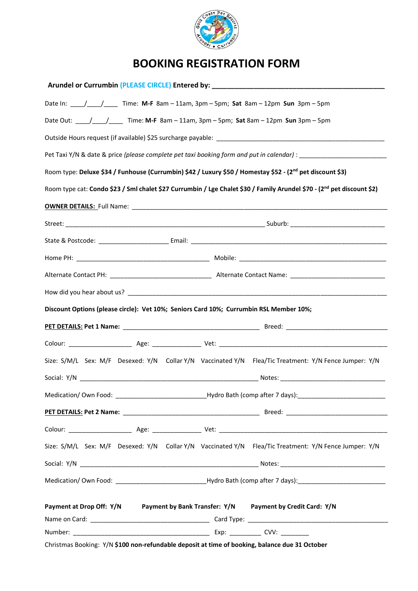

## **BOOKING REGISTRATION FORM**

|                                                                                                                                                                                                                                                                                                                                                                                                                                                                           |                                                          |  |  | Arundel or Currumbin (PLEASE CIRCLE) Entered by: _______________________________                      |  |  |  |  |  |  |  |  |
|---------------------------------------------------------------------------------------------------------------------------------------------------------------------------------------------------------------------------------------------------------------------------------------------------------------------------------------------------------------------------------------------------------------------------------------------------------------------------|----------------------------------------------------------|--|--|-------------------------------------------------------------------------------------------------------|--|--|--|--|--|--|--|--|
|                                                                                                                                                                                                                                                                                                                                                                                                                                                                           |                                                          |  |  |                                                                                                       |  |  |  |  |  |  |  |  |
| Date Out: ___/___/_____ Time: M-F 8am - 11am, 3pm - 5pm; Sat 8am - 12pm Sun 3pm - 5pm<br>Pet Taxi Y/N & date & price (please complete pet taxi booking form and put in calendar) : _______________________<br>Room type: Deluxe \$34 / Funhouse (Currumbin) \$42 / Luxury \$50 / Homestay \$52 - (2 <sup>nd</sup> pet discount \$3)<br>Room type cat: Condo \$23 / Sml chalet \$27 Currumbin / Lge Chalet \$30 / Family Arundel \$70 - (2 <sup>nd</sup> pet discount \$2) |                                                          |  |  |                                                                                                       |  |  |  |  |  |  |  |  |
|                                                                                                                                                                                                                                                                                                                                                                                                                                                                           |                                                          |  |  |                                                                                                       |  |  |  |  |  |  |  |  |
|                                                                                                                                                                                                                                                                                                                                                                                                                                                                           |                                                          |  |  |                                                                                                       |  |  |  |  |  |  |  |  |
|                                                                                                                                                                                                                                                                                                                                                                                                                                                                           |                                                          |  |  |                                                                                                       |  |  |  |  |  |  |  |  |
|                                                                                                                                                                                                                                                                                                                                                                                                                                                                           |                                                          |  |  |                                                                                                       |  |  |  |  |  |  |  |  |
|                                                                                                                                                                                                                                                                                                                                                                                                                                                                           |                                                          |  |  |                                                                                                       |  |  |  |  |  |  |  |  |
|                                                                                                                                                                                                                                                                                                                                                                                                                                                                           |                                                          |  |  |                                                                                                       |  |  |  |  |  |  |  |  |
| Discount Options (please circle): Vet 10%; Seniors Card 10%; Currumbin RSL Member 10%;                                                                                                                                                                                                                                                                                                                                                                                    |                                                          |  |  |                                                                                                       |  |  |  |  |  |  |  |  |
|                                                                                                                                                                                                                                                                                                                                                                                                                                                                           |                                                          |  |  |                                                                                                       |  |  |  |  |  |  |  |  |
|                                                                                                                                                                                                                                                                                                                                                                                                                                                                           |                                                          |  |  |                                                                                                       |  |  |  |  |  |  |  |  |
|                                                                                                                                                                                                                                                                                                                                                                                                                                                                           |                                                          |  |  | Size: S/M/L Sex: M/F Desexed: Y/N Collar Y/N Vaccinated Y/N Flea/Tic Treatment: Y/N Fence Jumper: Y/N |  |  |  |  |  |  |  |  |
|                                                                                                                                                                                                                                                                                                                                                                                                                                                                           |                                                          |  |  |                                                                                                       |  |  |  |  |  |  |  |  |
| Medication/Own Food: _                                                                                                                                                                                                                                                                                                                                                                                                                                                    | _______________________Hydro Bath (comp after 7 days):__ |  |  |                                                                                                       |  |  |  |  |  |  |  |  |
|                                                                                                                                                                                                                                                                                                                                                                                                                                                                           |                                                          |  |  |                                                                                                       |  |  |  |  |  |  |  |  |
|                                                                                                                                                                                                                                                                                                                                                                                                                                                                           |                                                          |  |  |                                                                                                       |  |  |  |  |  |  |  |  |
|                                                                                                                                                                                                                                                                                                                                                                                                                                                                           |                                                          |  |  | Size: S/M/L Sex: M/F Desexed: Y/N Collar Y/N Vaccinated Y/N Flea/Tic Treatment: Y/N Fence Jumper: Y/N |  |  |  |  |  |  |  |  |
|                                                                                                                                                                                                                                                                                                                                                                                                                                                                           |                                                          |  |  |                                                                                                       |  |  |  |  |  |  |  |  |
|                                                                                                                                                                                                                                                                                                                                                                                                                                                                           |                                                          |  |  |                                                                                                       |  |  |  |  |  |  |  |  |
|                                                                                                                                                                                                                                                                                                                                                                                                                                                                           |                                                          |  |  | Payment at Drop Off: Y/N Payment by Bank Transfer: Y/N Payment by Credit Card: Y/N                    |  |  |  |  |  |  |  |  |
|                                                                                                                                                                                                                                                                                                                                                                                                                                                                           |                                                          |  |  |                                                                                                       |  |  |  |  |  |  |  |  |
|                                                                                                                                                                                                                                                                                                                                                                                                                                                                           |                                                          |  |  |                                                                                                       |  |  |  |  |  |  |  |  |
|                                                                                                                                                                                                                                                                                                                                                                                                                                                                           |                                                          |  |  | Christmas Booking: Y/N \$100 non-refundable deposit at time of booking, balance due 31 October        |  |  |  |  |  |  |  |  |